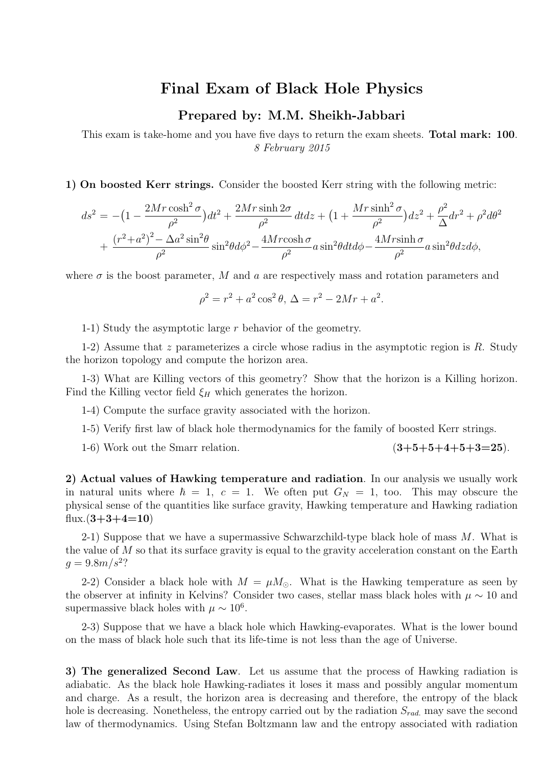## **Final Exam of Black Hole Physics**

## **Prepared by: M.M. Sheikh-Jabbari**

This exam is take-home and you have five days to return the exam sheets. **Total mark: 100**. *8 February 2015*

**1) On boosted Kerr strings.** Consider the boosted Kerr string with the following metric:

$$
ds^{2} = -(1 - \frac{2Mr\cosh^{2}\sigma}{\rho^{2}})dt^{2} + \frac{2Mr\sinh 2\sigma}{\rho^{2}}dtdz + (1 + \frac{Mr\sinh^{2}\sigma}{\rho^{2}})dz^{2} + \frac{\rho^{2}}{\Delta}dr^{2} + \rho^{2}d\theta^{2} + \frac{(r^{2} + a^{2})^{2} - \Delta a^{2}\sin^{2}\theta}{\rho^{2}}\sin^{2}\theta d\phi^{2} - \frac{4Mr\cosh\sigma}{\rho^{2}}a\sin^{2}\theta dt d\phi - \frac{4Mr\sinh\sigma}{\rho^{2}}a\sin^{2}\theta dz d\phi,
$$

where  $\sigma$  is the boost parameter, *M* and *a* are respectively mass and rotation parameters and

$$
\rho^2 = r^2 + a^2 \cos^2 \theta, \ \Delta = r^2 - 2Mr + a^2.
$$

1-1) Study the asymptotic large *r* behavior of the geometry.

1-2) Assume that *z* parameterizes a circle whose radius in the asymptotic region is *R*. Study the horizon topology and compute the horizon area.

1-3) What are Killing vectors of this geometry? Show that the horizon is a Killing horizon. Find the Killing vector field  $\xi$ *H* which generates the horizon.

1-4) Compute the surface gravity associated with the horizon.

1-5) Verify first law of black hole thermodynamics for the family of boosted Kerr strings.

1-6) Work out the Smarr relation. (**3+5+5+4+5+3=25**).

**2) Actual values of Hawking temperature and radiation**. In our analysis we usually work in natural units where  $\hbar = 1$ ,  $c = 1$ . We often put  $G_N = 1$ , too. This may obscure the physical sense of the quantities like surface gravity, Hawking temperature and Hawking radiation flux. $(3+3+4=10)$ 

2-1) Suppose that we have a supermassive Schwarzchild-type black hole of mass *M*. What is the value of *M* so that its surface gravity is equal to the gravity acceleration constant on the Earth  $g = 9.8 \frac{m}{s^2}$ ?

2-2) Consider a black hole with  $M = \mu M_{\odot}$ . What is the Hawking temperature as seen by the observer at infinity in Kelvins? Consider two cases, stellar mass black holes with  $\mu \sim 10$  and supermassive black holes with  $\mu \sim 10^6$ .

2-3) Suppose that we have a black hole which Hawking-evaporates. What is the lower bound on the mass of black hole such that its life-time is not less than the age of Universe.

**3) The generalized Second Law**. Let us assume that the process of Hawking radiation is adiabatic. As the black hole Hawking-radiates it loses it mass and possibly angular momentum and charge. As a result, the horizon area is decreasing and therefore, the entropy of the black hole is decreasing. Nonetheless, the entropy carried out by the radiation *Srad.* may save the second law of thermodynamics. Using Stefan Boltzmann law and the entropy associated with radiation